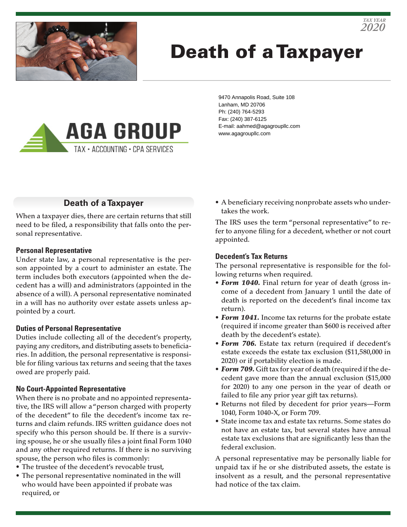

# Death of a Taxpayer



9470 Annapolis Road, Suite 108 Lanham, MD 20706 Ph: (240) 764-5293 Fax: (240) 387-6125 E-mail: aahmed@agagroupllc.com www.agagroupllc.com

### **Death of a Taxpayer**

When a taxpayer dies, there are certain returns that still need to be filed, a responsibility that falls onto the personal representative.

#### **Personal Representative**

Under state law, a personal representative is the person appointed by a court to administer an estate. The term includes both executors (appointed when the decedent has a will) and administrators (appointed in the absence of a will). A personal representative nominated in a will has no authority over estate assets unless appointed by a court.

#### **Duties of Personal Representative**

Duties include collecting all of the decedent's property, paying any creditors, and distributing assets to beneficiaries. In addition, the personal representative is responsible for filing various tax returns and seeing that the taxes owed are properly paid.

#### **No Court-Appointed Representative**

When there is no probate and no appointed representative, the IRS will allow a "person charged with property of the decedent" to file the decedent's income tax returns and claim refunds. IRS written guidance does not specify who this person should be. If there is a surviving spouse, he or she usually files a joint final Form 1040 and any other required returns. If there is no surviving spouse, the person who files is commonly:

- The trustee of the decedent's revocable trust,
- The personal representative nominated in the will who would have been appointed if probate was required, or

• A beneficiary receiving nonprobate assets who undertakes the work.

The IRS uses the term "personal representative" to refer to anyone filing for a decedent, whether or not court appointed.

#### **Decedent's Tax Returns**

The personal representative is responsible for the following returns when required.

- *Form 1040.* Final return for year of death (gross income of a decedent from January 1 until the date of death is reported on the decedent's final income tax return).
- *Form 1041.* Income tax returns for the probate estate (required if income greater than \$600 is received after death by the decedent's estate).
- *Form 706.* Estate tax return (required if decedent's estate exceeds the estate tax exclusion (\$11,580,000 in 2020) or if portability election is made.
- *Form 709.* Gift tax for year of death (required if the decedent gave more than the annual exclusion (\$15,000 for 2020) to any one person in the year of death or failed to file any prior year gift tax returns).
- Returns not filed by decedent for prior years—Form 1040, Form 1040-X, or Form 709.
- State income tax and estate tax returns. Some states do not have an estate tax, but several states have annual estate tax exclusions that are significantly less than the federal exclusion.

A personal representative may be personally liable for unpaid tax if he or she distributed assets, the estate is insolvent as a result, and the personal representative had notice of the tax claim.